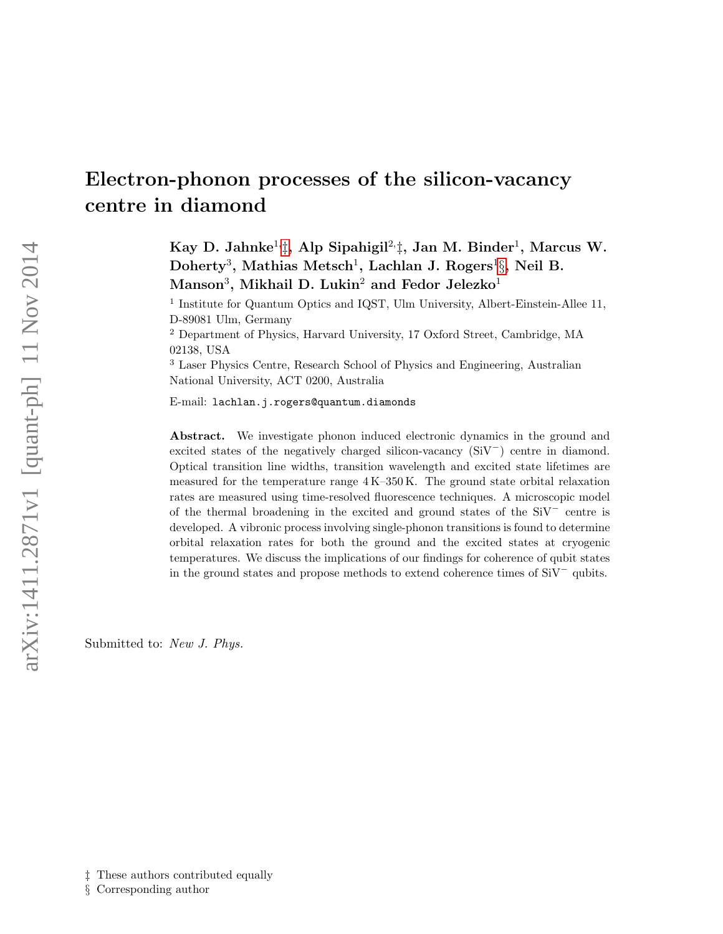# Electron-phonon processes of the silicon-vacancy centre in diamond

Kay D. Jahnke $^{1,\ddagger}$ , Alp Sipahigil $^{2,\ddagger}$ , Jan M. Binder $^{1}$ , Marcus W.  $\rm{Doherty^3, \; Mathias \; Metsch^1, \; Lachlan \; J. \; Rogers^1\S, \; Neil \; B.}$  $\rm{Manson^3,~Mikhail~D.~Lukin^2~and~Fedor~Jelezko^1}$ 

<sup>1</sup> Institute for Quantum Optics and IQST, Ulm University, Albert-Einstein-Allee 11, D-89081 Ulm, Germany

<sup>2</sup> Department of Physics, Harvard University, 17 Oxford Street, Cambridge, MA 02138, USA

<sup>3</sup> Laser Physics Centre, Research School of Physics and Engineering, Australian National University, ACT 0200, Australia

E-mail: lachlan.j.rogers@quantum.diamonds

Abstract. We investigate phonon induced electronic dynamics in the ground and excited states of the negatively charged silicon-vacancy (SiV<sup>−</sup>) centre in diamond. Optical transition line widths, transition wavelength and excited state lifetimes are measured for the temperature range 4 K–350 K. The ground state orbital relaxation rates are measured using time-resolved fluorescence techniques. A microscopic model of the thermal broadening in the excited and ground states of the SiV<sup>−</sup> centre is developed. A vibronic process involving single-phonon transitions is found to determine orbital relaxation rates for both the ground and the excited states at cryogenic temperatures. We discuss the implications of our findings for coherence of qubit states in the ground states and propose methods to extend coherence times of SiV<sup>−</sup> qubits.

Submitted to: New J. Phys.

§ Corresponding author

<span id="page-0-1"></span><span id="page-0-0"></span><sup>‡</sup> These authors contributed equally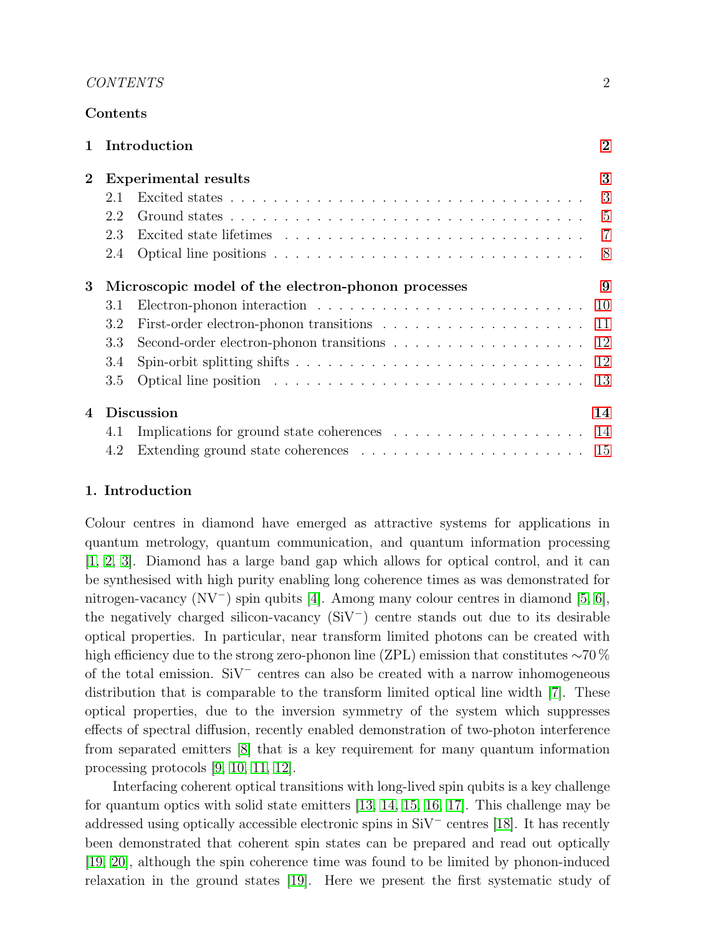# Contents

|                |                                                    | 1 Introduction                                                                                  | $\overline{2}$            |
|----------------|----------------------------------------------------|-------------------------------------------------------------------------------------------------|---------------------------|
| $\bf{2}$       | Experimental results                               |                                                                                                 | 3                         |
|                | 2.1                                                |                                                                                                 | $\overline{\phantom{a}3}$ |
|                | 2.2                                                |                                                                                                 |                           |
|                | 2.3                                                |                                                                                                 |                           |
|                | 2.4                                                |                                                                                                 |                           |
| 3              | Microscopic model of the electron-phonon processes |                                                                                                 | 9                         |
|                | 3.1                                                | Electron-phonon interaction $\ldots \ldots \ldots \ldots \ldots \ldots \ldots \ldots \ldots 10$ |                           |
|                | 3.2                                                |                                                                                                 |                           |
|                | 3.3                                                | Second-order electron-phonon transitions 12                                                     |                           |
|                | 3.4                                                |                                                                                                 |                           |
|                | 3.5                                                |                                                                                                 |                           |
| $\overline{4}$ | <b>Discussion</b>                                  |                                                                                                 | 14                        |
|                | 4.1                                                |                                                                                                 | -14                       |
|                |                                                    |                                                                                                 |                           |
|                |                                                    |                                                                                                 |                           |

## <span id="page-1-0"></span>1. Introduction

Colour centres in diamond have emerged as attractive systems for applications in quantum metrology, quantum communication, and quantum information processing [\[1,](#page-15-0) [2,](#page-15-1) [3\]](#page-15-2). Diamond has a large band gap which allows for optical control, and it can be synthesised with high purity enabling long coherence times as was demonstrated for nitrogen-vacancy (NV<sup>−</sup> ) spin qubits [\[4\]](#page-15-3). Among many colour centres in diamond [\[5,](#page-15-4) [6\]](#page-16-0), the negatively charged silicon-vacancy (SiV<sup>−</sup> ) centre stands out due to its desirable optical properties. In particular, near transform limited photons can be created with high efficiency due to the strong zero-phonon line (ZPL) emission that constitutes ∼70 % of the total emission. SiV<sup>−</sup> centres can also be created with a narrow inhomogeneous distribution that is comparable to the transform limited optical line width [\[7\]](#page-16-1). These optical properties, due to the inversion symmetry of the system which suppresses effects of spectral diffusion, recently enabled demonstration of two-photon interference from separated emitters [\[8\]](#page-16-2) that is a key requirement for many quantum information processing protocols [\[9,](#page-16-3) [10,](#page-16-4) [11,](#page-16-5) [12\]](#page-16-6).

Interfacing coherent optical transitions with long-lived spin qubits is a key challenge for quantum optics with solid state emitters [\[13,](#page-16-7) [14,](#page-16-8) [15,](#page-16-9) [16,](#page-16-10) [17\]](#page-16-11). This challenge may be addressed using optically accessible electronic spins in SiV<sup>−</sup> centres [\[18\]](#page-16-12). It has recently been demonstrated that coherent spin states can be prepared and read out optically [\[19,](#page-16-13) [20\]](#page-16-14), although the spin coherence time was found to be limited by phonon-induced relaxation in the ground states [\[19\]](#page-16-13). Here we present the first systematic study of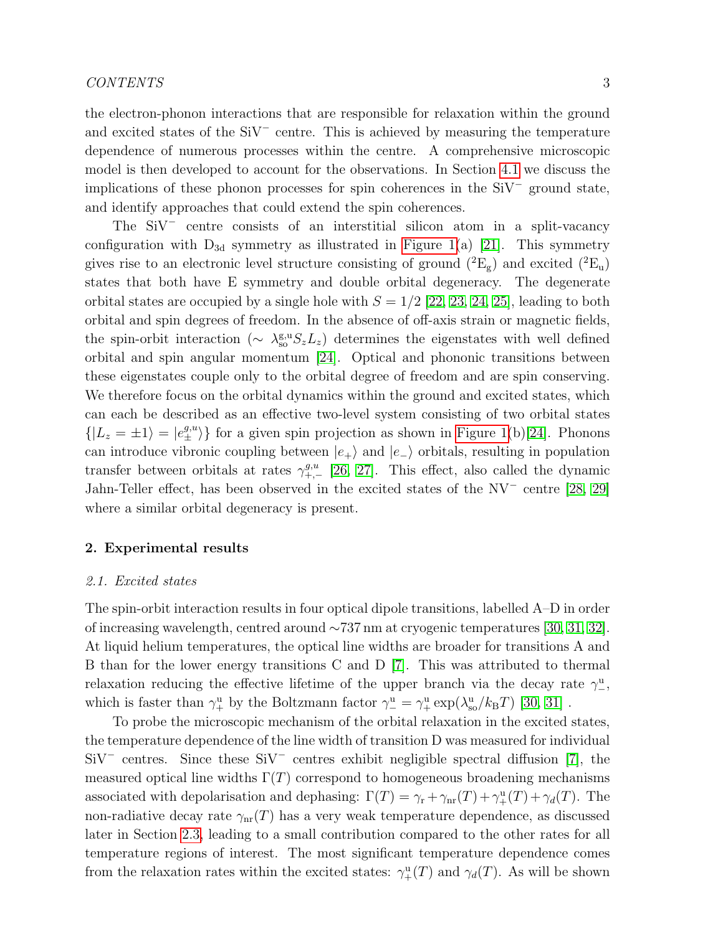the electron-phonon interactions that are responsible for relaxation within the ground and excited states of the SiV<sup>-</sup> centre. This is achieved by measuring the temperature dependence of numerous processes within the centre. A comprehensive microscopic model is then developed to account for the observations. In Section [4.1](#page-13-1) we discuss the implications of these phonon processes for spin coherences in the SiV<sup>−</sup> ground state, and identify approaches that could extend the spin coherences.

The SiV<sup>−</sup> centre consists of an interstitial silicon atom in a split-vacancy configuration with  $D_{3d}$  symmetry as illustrated in [Figure 1\(](#page-3-0)a) [\[21\]](#page-16-15). This symmetry gives rise to an electronic level structure consisting of ground  $(^{2}E_{g})$  and excited  $(^{2}E_{u})$ states that both have E symmetry and double orbital degeneracy. The degenerate orbital states are occupied by a single hole with  $S = 1/2$  [\[22,](#page-16-16) [23,](#page-16-17) [24,](#page-17-0) [25\]](#page-17-1), leading to both orbital and spin degrees of freedom. In the absence of off-axis strain or magnetic fields, the spin-orbit interaction ( $\sim \lambda_{\rm so}^{\rm g,u} S_z L_z$ ) determines the eigenstates with well defined orbital and spin angular momentum [\[24\]](#page-17-0). Optical and phononic transitions between these eigenstates couple only to the orbital degree of freedom and are spin conserving. We therefore focus on the orbital dynamics within the ground and excited states, which can each be described as an effective two-level system consisting of two orbital states  $\{|L_z = \pm 1\rangle = |e_{\pm}^{g,u}\rangle\}$  for a given spin projection as shown in [Figure 1\(](#page-3-0)b)[\[24\]](#page-17-0). Phonons can introduce vibronic coupling between  $|e_+\rangle$  and  $|e_-\rangle$  orbitals, resulting in population transfer between orbitals at rates  $\gamma_{+,-}^{g,u}$  [\[26,](#page-17-2) [27\]](#page-17-3). This effect, also called the dynamic Jahn-Teller effect, has been observed in the excited states of the NV<sup>−</sup> centre [\[28,](#page-17-4) [29\]](#page-17-5) where a similar orbital degeneracy is present.

# <span id="page-2-0"></span>2. Experimental results

#### <span id="page-2-1"></span>2.1. Excited states

The spin-orbit interaction results in four optical dipole transitions, labelled A–D in order of increasing wavelength, centred around ∼737 nm at cryogenic temperatures [\[30,](#page-17-6) [31,](#page-17-7) [32\]](#page-17-8). At liquid helium temperatures, the optical line widths are broader for transitions A and B than for the lower energy transitions C and D [\[7\]](#page-16-1). This was attributed to thermal relaxation reducing the effective lifetime of the upper branch via the decay rate  $\gamma^{\mathrm{u}}$ , which is faster than  $\gamma_+^u$  by the Boltzmann factor  $\gamma_-^u = \gamma_+^u \exp(\lambda_{so}^u / k_B T)$  [\[30,](#page-17-6) [31\]](#page-17-7).

To probe the microscopic mechanism of the orbital relaxation in the excited states, the temperature dependence of the line width of transition D was measured for individual SiV<sup>−</sup> centres. Since these SiV<sup>−</sup> centres exhibit negligible spectral diffusion [\[7\]](#page-16-1), the measured optical line widths  $\Gamma(T)$  correspond to homogeneous broadening mechanisms associated with depolarisation and dephasing:  $\Gamma(T) = \gamma_r + \gamma_{nr}(T) + \gamma_+(T) + \gamma_d(T)$ . The non-radiative decay rate  $\gamma_{\text{nr}}(T)$  has a very weak temperature dependence, as discussed later in Section [2.3,](#page-6-0) leading to a small contribution compared to the other rates for all temperature regions of interest. The most significant temperature dependence comes from the relaxation rates within the excited states:  $\gamma^{\text{u}}_{+}(T)$  and  $\gamma_d(T)$ . As will be shown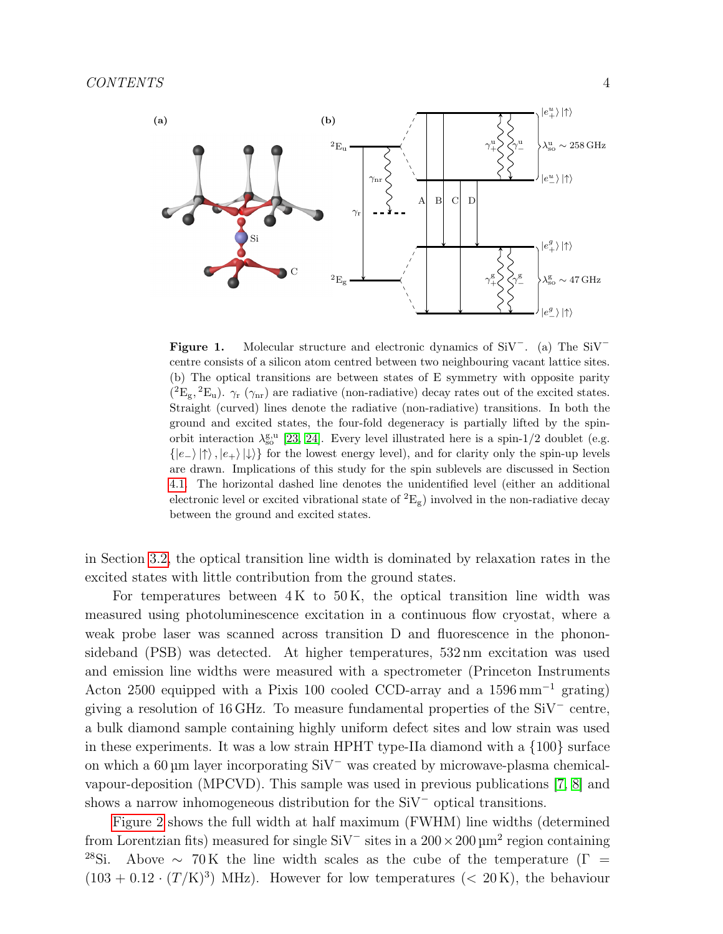

<span id="page-3-0"></span>Figure 1. Molecular structure and electronic dynamics of SiV<sup>−</sup>. (a) The SiV<sup>−</sup> centre consists of a silicon atom centred between two neighbouring vacant lattice sites. (b) The optical transitions are between states of E symmetry with opposite parity  $(^{2}E_{g},^{2}E_{u})$ .  $\gamma_{r}(\gamma_{nr})$  are radiative (non-radiative) decay rates out of the excited states. Straight (curved) lines denote the radiative (non-radiative) transitions. In both the ground and excited states, the four-fold degeneracy is partially lifted by the spinorbit interaction  $\lambda_{so}^{g,u}$  [\[23,](#page-16-17) [24\]](#page-17-0). Every level illustrated here is a spin-1/2 doublet (e.g.  $\{|e_-\rangle \rangle \langle \rangle, |e_+\rangle \langle \rangle\}$  for the lowest energy level), and for clarity only the spin-up levels are drawn. Implications of this study for the spin sublevels are discussed in Section [4.1.](#page-13-1) The horizontal dashed line denotes the unidentified level (either an additional electronic level or excited vibrational state of  ${}^{2}E_g$ ) involved in the non-radiative decay between the ground and excited states.

in Section [3.2,](#page-10-0) the optical transition line width is dominated by relaxation rates in the excited states with little contribution from the ground states.

For temperatures between  $4K$  to  $50K$ , the optical transition line width was measured using photoluminescence excitation in a continuous flow cryostat, where a weak probe laser was scanned across transition D and fluorescence in the phononsideband (PSB) was detected. At higher temperatures, 532 nm excitation was used and emission line widths were measured with a spectrometer (Princeton Instruments Acton 2500 equipped with a Pixis 100 cooled CCD-array and a 1596 mm−<sup>1</sup> grating) giving a resolution of 16 GHz. To measure fundamental properties of the SiV<sup>−</sup> centre, a bulk diamond sample containing highly uniform defect sites and low strain was used in these experiments. It was a low strain HPHT type-IIa diamond with a  $\{100\}$  surface on which a 60 µm layer incorporating SiV<sup>−</sup> was created by microwave-plasma chemicalvapour-deposition (MPCVD). This sample was used in previous publications [\[7,](#page-16-1) [8\]](#page-16-2) and shows a narrow inhomogeneous distribution for the SiV<sup>−</sup> optical transitions.

[Figure 2](#page-4-1) shows the full width at half maximum (FWHM) line widths (determined from Lorentzian fits) measured for single  $\rm SiV^-$  sites in a  $200 \times 200 \,\rm \mu m^2$  region containing <sup>28</sup>Si. Above ~ 70 K the line width scales as the cube of the temperature ( $\Gamma$  =  $(103 + 0.12 \cdot (T/K)^3)$  MHz). However for low temperatures (< 20K), the behaviour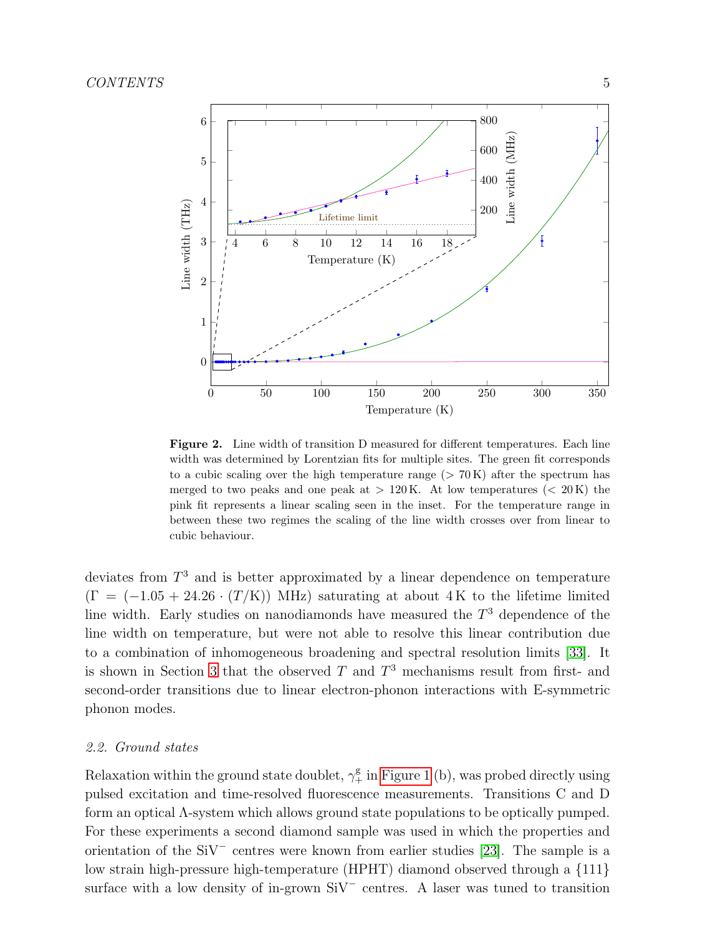

<span id="page-4-1"></span>Figure 2. Line width of transition D measured for different temperatures. Each line width was determined by Lorentzian fits for multiple sites. The green fit corresponds to a cubic scaling over the high temperature range  $(> 70 \text{ K})$  after the spectrum has merged to two peaks and one peak at  $> 120$  K. At low temperatures ( $< 20$  K) the pink fit represents a linear scaling seen in the inset. For the temperature range in between these two regimes the scaling of the line width crosses over from linear to cubic behaviour.

deviates from  $T<sup>3</sup>$  and is better approximated by a linear dependence on temperature  $(\Gamma = (-1.05 + 24.26 \cdot (T/K))$  MHz) saturating at about 4K to the lifetime limited line width. Early studies on nanodiamonds have measured the  $T<sup>3</sup>$  dependence of the line width on temperature, but were not able to resolve this linear contribution due to a combination of inhomogeneous broadening and spectral resolution limits [\[33\]](#page-17-9). It is shown in Section [3](#page-8-0) that the observed  $T$  and  $T^3$  mechanisms result from first- and second-order transitions due to linear electron-phonon interactions with E-symmetric phonon modes.

#### <span id="page-4-0"></span>2.2. Ground states

Relaxation within the ground state doublet,  $\gamma_+^{\rm g}$  in [Figure 1](#page-3-0) (b), was probed directly using pulsed excitation and time-resolved fluorescence measurements. Transitions C and D form an optical Λ-system which allows ground state populations to be optically pumped. For these experiments a second diamond sample was used in which the properties and orientation of the SiV<sup>−</sup> centres were known from earlier studies [\[23\]](#page-16-17). The sample is a low strain high-pressure high-temperature (HPHT) diamond observed through a {111} surface with a low density of in-grown SiV<sup>-</sup> centres. A laser was tuned to transition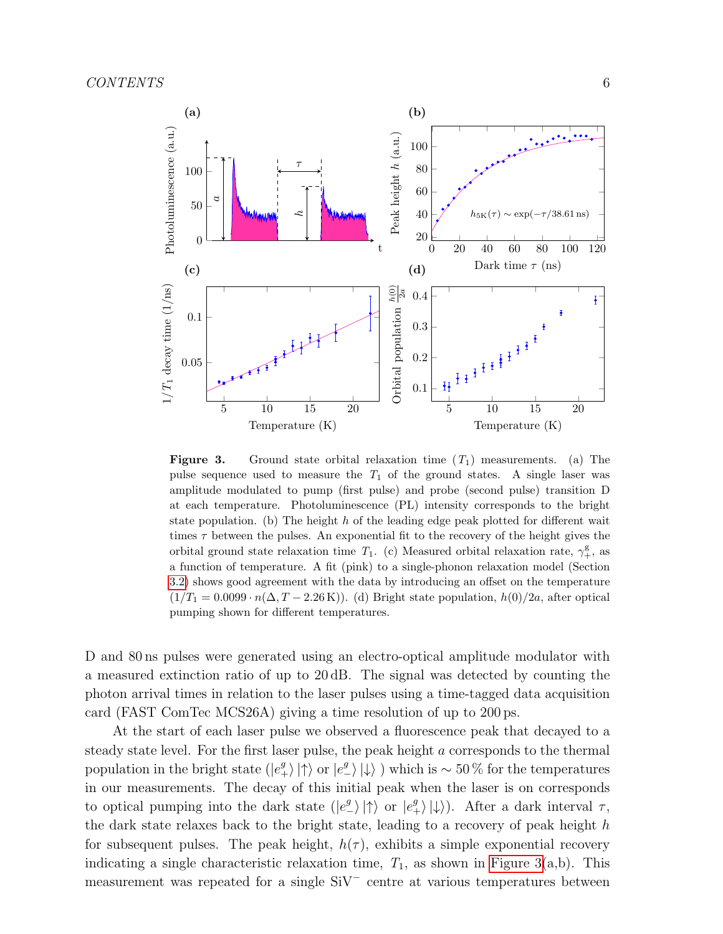

<span id="page-5-0"></span>**Figure 3.** Ground state orbital relaxation time  $(T_1)$  measurements. (a) The pulse sequence used to measure the  $T_1$  of the ground states. A single laser was amplitude modulated to pump (first pulse) and probe (second pulse) transition D at each temperature. Photoluminescence (PL) intensity corresponds to the bright state population. (b) The height  $h$  of the leading edge peak plotted for different wait times  $\tau$  between the pulses. An exponential fit to the recovery of the height gives the orbital ground state relaxation time  $T_1$ . (c) Measured orbital relaxation rate,  $\gamma_+^{\text{g}}$ , as a function of temperature. A fit (pink) to a single-phonon relaxation model (Section [3.2\)](#page-10-0) shows good agreement with the data by introducing an offset on the temperature  $(1/T_1 = 0.0099 \cdot n(\Delta, T - 2.26 \text{ K}))$ . (d) Bright state population,  $h(0)/2a$ , after optical pumping shown for different temperatures.

D and 80 ns pulses were generated using an electro-optical amplitude modulator with a measured extinction ratio of up to 20 dB. The signal was detected by counting the photon arrival times in relation to the laser pulses using a time-tagged data acquisition card (FAST ComTec MCS26A) giving a time resolution of up to 200 ps.

At the start of each laser pulse we observed a fluorescence peak that decayed to a steady state level. For the first laser pulse, the peak height a corresponds to the thermal population in the bright state  $(|e_+^g\rangle | \uparrow \rangle$  or  $|e_-^g\rangle | \downarrow \rangle$  ) which is ~ 50% for the temperatures in our measurements. The decay of this initial peak when the laser is on corresponds to optical pumping into the dark state  $(|e_{-}^{g}\rangle)|\uparrow\rangle$  or  $|e_{+}^{g}\rangle|\downarrow\rangle$ ). After a dark interval  $\tau$ , the dark state relaxes back to the bright state, leading to a recovery of peak height  $h$ for subsequent pulses. The peak height,  $h(\tau)$ , exhibits a simple exponential recovery indicating a single characteristic relaxation time,  $T_1$ , as shown in [Figure 3\(](#page-5-0)a,b). This measurement was repeated for a single SiV<sup>−</sup> centre at various temperatures between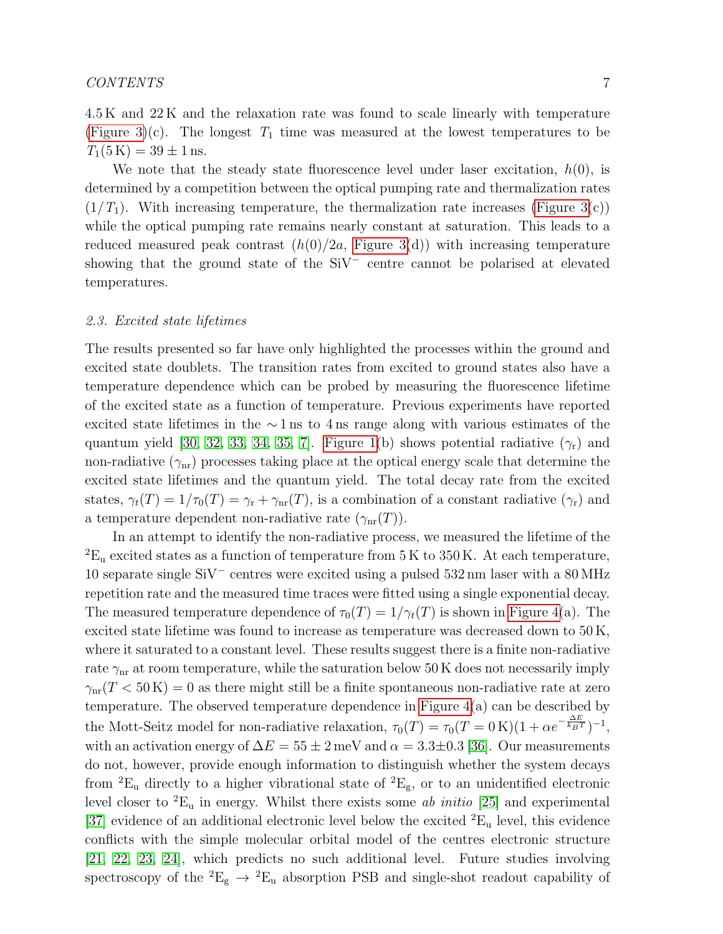4.5 K and 22 K and the relaxation rate was found to scale linearly with temperature [\(Figure 3\)](#page-5-0)(c). The longest  $T_1$  time was measured at the lowest temperatures to be  $T_1(5 \text{ K}) = 39 \pm 1 \text{ ns}.$ 

We note that the steady state fluorescence level under laser excitation,  $h(0)$ , is determined by a competition between the optical pumping rate and thermalization rates  $(1/T_1)$ . With increasing temperature, the thermalization rate increases [\(Figure 3\(](#page-5-0)c)) while the optical pumping rate remains nearly constant at saturation. This leads to a reduced measured peak contrast  $(h(0)/2a)$ , [Figure 3\(](#page-5-0)d)) with increasing temperature showing that the ground state of the SiV<sup>−</sup> centre cannot be polarised at elevated temperatures.

#### <span id="page-6-0"></span>2.3. Excited state lifetimes

The results presented so far have only highlighted the processes within the ground and excited state doublets. The transition rates from excited to ground states also have a temperature dependence which can be probed by measuring the fluorescence lifetime of the excited state as a function of temperature. Previous experiments have reported excited state lifetimes in the ∼1 ns to 4 ns range along with various estimates of the quantum yield [\[30,](#page-17-6) [32,](#page-17-8) [33,](#page-17-9) [34,](#page-17-10) [35,](#page-17-11) [7\]](#page-16-1). [Figure 1\(](#page-3-0)b) shows potential radiative  $(\gamma_r)$  and non-radiative  $(\gamma_{nr})$  processes taking place at the optical energy scale that determine the excited state lifetimes and the quantum yield. The total decay rate from the excited states,  $\gamma_t(T) = 1/\tau_0(T) = \gamma_{\rm r} + \gamma_{\rm nr}(T)$ , is a combination of a constant radiative  $(\gamma_{\rm r})$  and a temperature dependent non-radiative rate  $(\gamma_{nr}(T))$ .

In an attempt to identify the non-radiative process, we measured the lifetime of the  ${}^{2}E_{u}$  excited states as a function of temperature from 5 K to 350 K. At each temperature, 10 separate single SiV<sup>−</sup> centres were excited using a pulsed 532 nm laser with a 80 MHz repetition rate and the measured time traces were fitted using a single exponential decay. The measured temperature dependence of  $\tau_0(T) = 1/\gamma_t(T)$  is shown in [Figure 4\(](#page-7-1)a). The excited state lifetime was found to increase as temperature was decreased down to 50 K, where it saturated to a constant level. These results suggest there is a finite non-radiative rate  $\gamma_{\text{nr}}$  at room temperature, while the saturation below 50 K does not necessarily imply  $\gamma_{\text{nr}}(T<50\,\text{K})=0$  as there might still be a finite spontaneous non-radiative rate at zero temperature. The observed temperature dependence in [Figure 4\(](#page-7-1)a) can be described by the Mott-Seitz model for non-radiative relaxation,  $\tau_0(T) = \tau_0(T = 0 \text{ K})(1 + \alpha e^{-\frac{\Delta E}{k_B T}})^{-1}$ , with an activation energy of  $\Delta E = 55 \pm 2 \,\text{meV}$  and  $\alpha = 3.3 \pm 0.3$  [\[36\]](#page-17-12). Our measurements do not, however, provide enough information to distinguish whether the system decays from <sup>2</sup> $E_u$  directly to a higher vibrational state of <sup>2</sup> $E_g$ , or to an unidentified electronic level closer to  ${}^{2}E_u$  in energy. Whilst there exists some *ab initio* [\[25\]](#page-17-1) and experimental [\[37\]](#page-17-13) evidence of an additional electronic level below the excited  ${}^{2}E_{u}$  level, this evidence conflicts with the simple molecular orbital model of the centres electronic structure [\[21,](#page-16-15) [22,](#page-16-16) [23,](#page-16-17) [24\]](#page-17-0), which predicts no such additional level. Future studies involving spectroscopy of the  ${}^2E_g \rightarrow {}^2E_u$  absorption PSB and single-shot readout capability of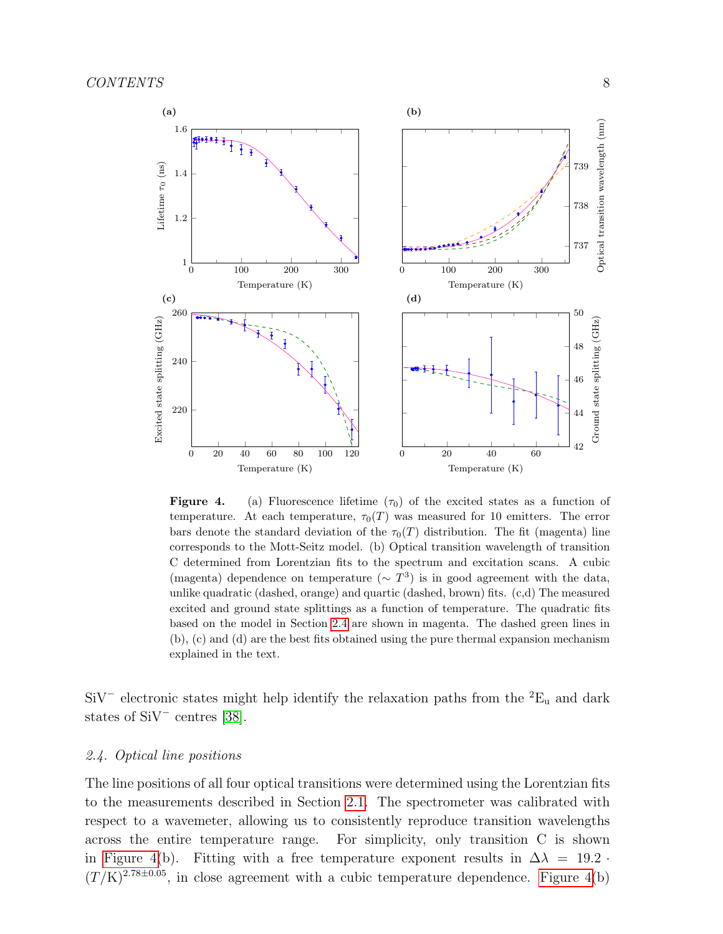

<span id="page-7-1"></span>**Figure 4.** (a) Fluorescence lifetime  $(\tau_0)$  of the excited states as a function of temperature. At each temperature,  $\tau_0(T)$  was measured for 10 emitters. The error bars denote the standard deviation of the  $\tau_0(T)$  distribution. The fit (magenta) line corresponds to the Mott-Seitz model. (b) Optical transition wavelength of transition C determined from Lorentzian fits to the spectrum and excitation scans. A cubic (magenta) dependence on temperature ( $\sim T^3$ ) is in good agreement with the data, unlike quadratic (dashed, orange) and quartic (dashed, brown) fits. (c,d) The measured excited and ground state splittings as a function of temperature. The quadratic fits based on the model in Section [2.4](#page-7-0) are shown in magenta. The dashed green lines in (b), (c) and (d) are the best fits obtained using the pure thermal expansion mechanism explained in the text.

SiV<sup>-</sup> electronic states might help identify the relaxation paths from the  ${}^{2}E_{u}$  and dark states of SiV<sup>-</sup> centres [\[38\]](#page-17-14).

# <span id="page-7-0"></span>2.4. Optical line positions

The line positions of all four optical transitions were determined using the Lorentzian fits to the measurements described in Section [2.1.](#page-2-1) The spectrometer was calibrated with respect to a wavemeter, allowing us to consistently reproduce transition wavelengths across the entire temperature range. For simplicity, only transition C is shown in [Figure 4\(](#page-7-1)b). Fitting with a free temperature exponent results in  $\Delta \lambda = 19.2$ .  $(T/K)^{2.78\pm0.05}$ , in close agreement with a cubic temperature dependence. [Figure 4\(](#page-7-1)b)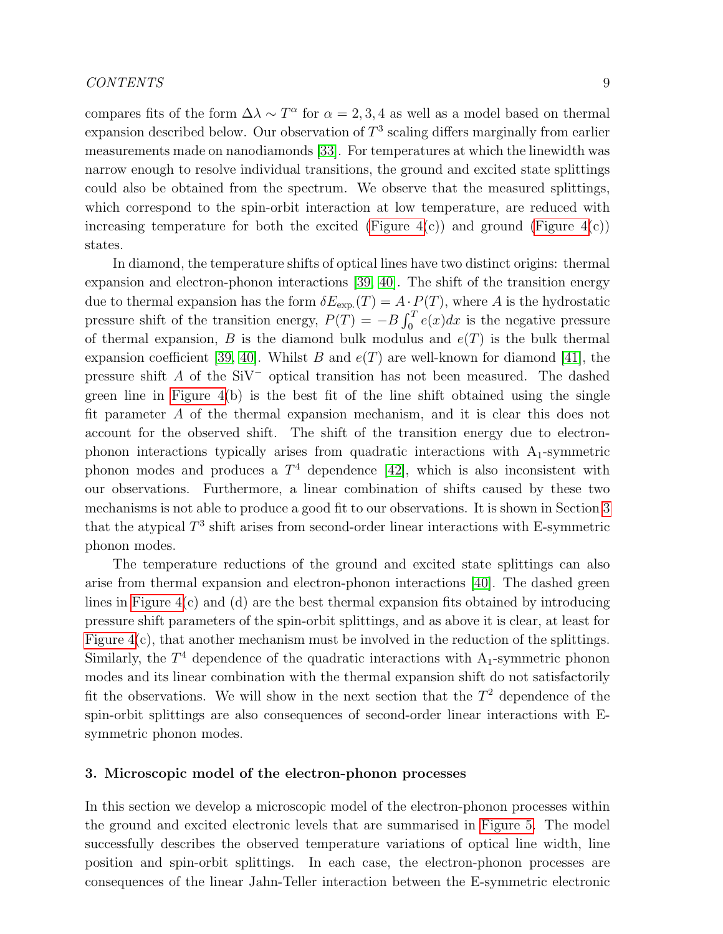compares fits of the form  $\Delta\lambda \sim T^{\alpha}$  for  $\alpha = 2, 3, 4$  as well as a model based on thermal expansion described below. Our observation of  $T^3$  scaling differs marginally from earlier measurements made on nanodiamonds [\[33\]](#page-17-9). For temperatures at which the linewidth was narrow enough to resolve individual transitions, the ground and excited state splittings could also be obtained from the spectrum. We observe that the measured splittings, which correspond to the spin-orbit interaction at low temperature, are reduced with increasing temperature for both the excited (Figure  $4(c)$ ) and ground (Figure  $4(c)$ ) states.

In diamond, the temperature shifts of optical lines have two distinct origins: thermal expansion and electron-phonon interactions [\[39,](#page-17-15) [40\]](#page-17-16). The shift of the transition energy due to thermal expansion has the form  $\delta E_{\text{exp.}}(T) = A \cdot P(T)$ , where A is the hydrostatic pressure shift of the transition energy,  $P(T) = -B \int_0^T e(x) dx$  is the negative pressure of thermal expansion, B is the diamond bulk modulus and  $e(T)$  is the bulk thermal expansion coefficient [\[39,](#page-17-15) [40\]](#page-17-16). Whilst B and  $e(T)$  are well-known for diamond [\[41\]](#page-17-17), the pressure shift A of the SiV<sup>-</sup> optical transition has not been measured. The dashed green line in Figure  $4(b)$  is the best fit of the line shift obtained using the single fit parameter A of the thermal expansion mechanism, and it is clear this does not account for the observed shift. The shift of the transition energy due to electronphonon interactions typically arises from quadratic interactions with  $A_1$ -symmetric phonon modes and produces a  $T^4$  dependence [\[42\]](#page-17-18), which is also inconsistent with our observations. Furthermore, a linear combination of shifts caused by these two mechanisms is not able to produce a good fit to our observations. It is shown in Section [3](#page-8-0) that the atypical  $T^3$  shift arises from second-order linear interactions with E-symmetric phonon modes.

The temperature reductions of the ground and excited state splittings can also arise from thermal expansion and electron-phonon interactions [\[40\]](#page-17-16). The dashed green lines in [Figure 4\(](#page-7-1)c) and (d) are the best thermal expansion fits obtained by introducing pressure shift parameters of the spin-orbit splittings, and as above it is clear, at least for Figure  $4(c)$ , that another mechanism must be involved in the reduction of the splittings. Similarly, the  $T<sup>4</sup>$  dependence of the quadratic interactions with  $A<sub>1</sub>$ -symmetric phonon modes and its linear combination with the thermal expansion shift do not satisfactorily fit the observations. We will show in the next section that the  $T<sup>2</sup>$  dependence of the spin-orbit splittings are also consequences of second-order linear interactions with Esymmetric phonon modes.

#### <span id="page-8-0"></span>3. Microscopic model of the electron-phonon processes

In this section we develop a microscopic model of the electron-phonon processes within the ground and excited electronic levels that are summarised in [Figure 5.](#page-9-1) The model successfully describes the observed temperature variations of optical line width, line position and spin-orbit splittings. In each case, the electron-phonon processes are consequences of the linear Jahn-Teller interaction between the E-symmetric electronic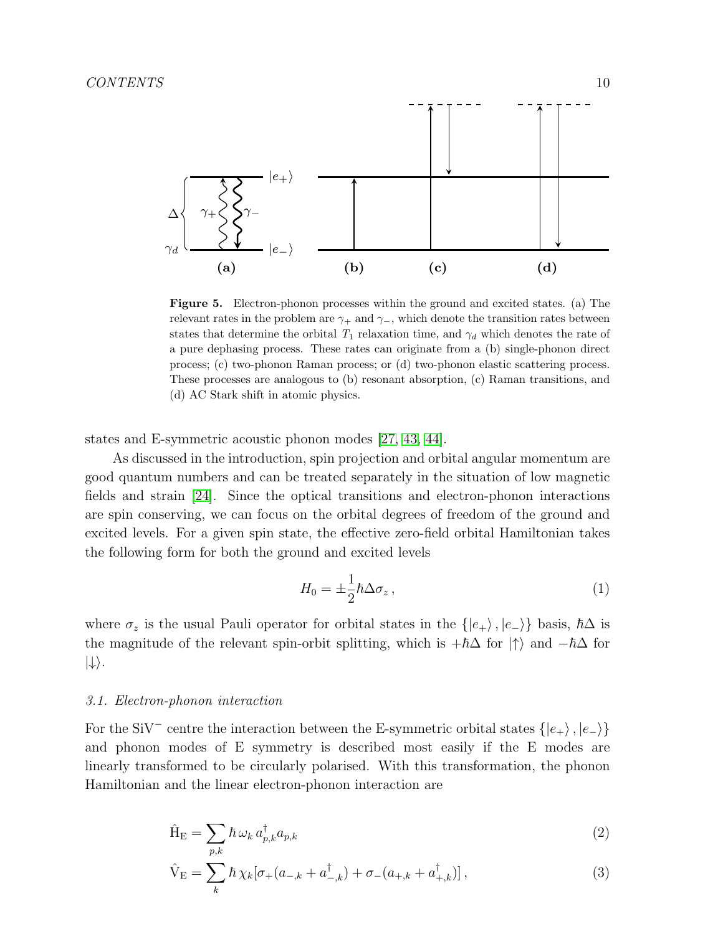

<span id="page-9-1"></span>Figure 5. Electron-phonon processes within the ground and excited states. (a) The relevant rates in the problem are  $\gamma_+$  and  $\gamma_-$ , which denote the transition rates between states that determine the orbital  $T_1$  relaxation time, and  $\gamma_d$  which denotes the rate of a pure dephasing process. These rates can originate from a (b) single-phonon direct process; (c) two-phonon Raman process; or (d) two-phonon elastic scattering process. These processes are analogous to (b) resonant absorption, (c) Raman transitions, and (d) AC Stark shift in atomic physics.

states and E-symmetric acoustic phonon modes [\[27,](#page-17-3) [43,](#page-18-0) [44\]](#page-18-1).

As discussed in the introduction, spin projection and orbital angular momentum are good quantum numbers and can be treated separately in the situation of low magnetic fields and strain [\[24\]](#page-17-0). Since the optical transitions and electron-phonon interactions are spin conserving, we can focus on the orbital degrees of freedom of the ground and excited levels. For a given spin state, the effective zero-field orbital Hamiltonian takes the following form for both the ground and excited levels

$$
H_0 = \pm \frac{1}{2} \hbar \Delta \sigma_z \,, \tag{1}
$$

where  $\sigma_z$  is the usual Pauli operator for orbital states in the  $\{ |e_+\rangle, |e_-\rangle \}$  basis,  $\hbar\Delta$  is the magnitude of the relevant spin-orbit splitting, which is  $+\hbar\Delta$  for  $|\uparrow\rangle$  and  $-\hbar\Delta$  for  $|\downarrow\rangle$ .

#### <span id="page-9-0"></span>3.1. Electron-phonon interaction

For the SiV<sup>-</sup> centre the interaction between the E-symmetric orbital states  $\{|e_+\rangle, |e_-\rangle\}$ and phonon modes of E symmetry is described most easily if the E modes are linearly transformed to be circularly polarised. With this transformation, the phonon Hamiltonian and the linear electron-phonon interaction are

<span id="page-9-2"></span>
$$
\hat{H}_{E} = \sum_{p,k} \hbar \omega_k a_{p,k}^{\dagger} a_{p,k} \tag{2}
$$

$$
\hat{V}_{E} = \sum_{k} \hbar \chi_{k} [\sigma_{+}(a_{-,k} + a_{-,k}^{\dagger}) + \sigma_{-}(a_{+,k} + a_{+,k}^{\dagger})], \qquad (3)
$$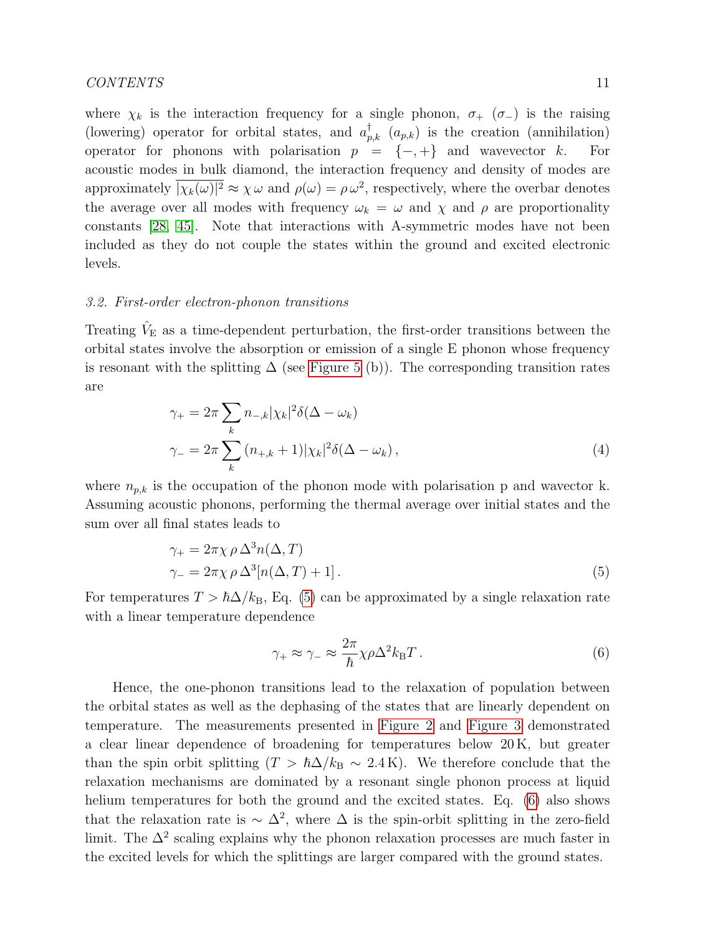# CONTENTS 11

where  $\chi_k$  is the interaction frequency for a single phonon,  $\sigma_+$  ( $\sigma_-$ ) is the raising (lowering) operator for orbital states, and  $a_{p,k}^{\dagger}(a_{p,k})$  is the creation (annihilation) operator for phonons with polarisation  $p = \{-, +\}$  and wavevector k. For acoustic modes in bulk diamond, the interaction frequency and density of modes are approximately  $\overline{|\chi_k(\omega)|^2} \approx \chi \omega$  and  $\rho(\omega) = \rho \omega^2$ , respectively, where the overbar denotes the average over all modes with frequency  $\omega_k = \omega$  and  $\chi$  and  $\rho$  are proportionality constants [\[28,](#page-17-4) [45\]](#page-18-2). Note that interactions with A-symmetric modes have not been included as they do not couple the states within the ground and excited electronic levels.

#### <span id="page-10-0"></span>3.2. First-order electron-phonon transitions

Treating  $\hat{V}_{E}$  as a time-dependent perturbation, the first-order transitions between the orbital states involve the absorption or emission of a single E phonon whose frequency is resonant with the splitting  $\Delta$  (see [Figure 5](#page-9-1) (b)). The corresponding transition rates are

$$
\gamma_{+} = 2\pi \sum_{k} n_{-,k} |\chi_{k}|^{2} \delta(\Delta - \omega_{k})
$$
  

$$
\gamma_{-} = 2\pi \sum_{k} (n_{+,k} + 1) |\chi_{k}|^{2} \delta(\Delta - \omega_{k}),
$$
 (4)

where  $n_{p,k}$  is the occupation of the phonon mode with polarisation p and wavector k. Assuming acoustic phonons, performing the thermal average over initial states and the sum over all final states leads to

<span id="page-10-1"></span>
$$
\gamma_{+} = 2\pi\chi \rho \Delta^{3} n(\Delta, T)
$$
  
\n
$$
\gamma_{-} = 2\pi\chi \rho \Delta^{3}[n(\Delta, T) + 1].
$$
\n(5)

For temperatures  $T > \hbar \Delta / k_B$ , Eq. [\(5\)](#page-10-1) can be approximated by a single relaxation rate with a linear temperature dependence

<span id="page-10-2"></span>
$$
\gamma_+ \approx \gamma_- \approx \frac{2\pi}{\hbar} \chi \rho \Delta^2 k_{\rm B} T \,. \tag{6}
$$

Hence, the one-phonon transitions lead to the relaxation of population between the orbital states as well as the dephasing of the states that are linearly dependent on temperature. The measurements presented in [Figure 2](#page-4-1) and [Figure 3](#page-5-0) demonstrated a clear linear dependence of broadening for temperatures below 20 K, but greater than the spin orbit splitting  $(T > \hbar \Delta/k_B \sim 2.4 \text{ K})$ . We therefore conclude that the relaxation mechanisms are dominated by a resonant single phonon process at liquid helium temperatures for both the ground and the excited states. Eq. [\(6\)](#page-10-2) also shows that the relaxation rate is  $\sim \Delta^2$ , where  $\Delta$  is the spin-orbit splitting in the zero-field limit. The  $\Delta^2$  scaling explains why the phonon relaxation processes are much faster in the excited levels for which the splittings are larger compared with the ground states.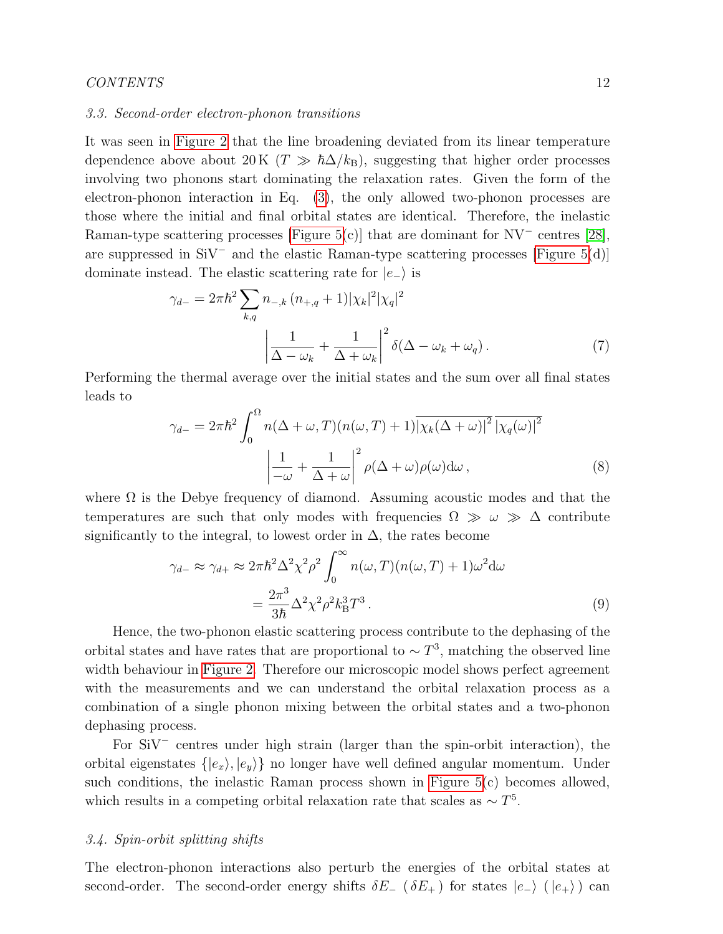#### CONTENTS 12

#### <span id="page-11-0"></span>3.3. Second-order electron-phonon transitions

It was seen in [Figure 2](#page-4-1) that the line broadening deviated from its linear temperature dependence above about 20 K (T  $\gg \hbar \Delta/k_B$ ), suggesting that higher order processes involving two phonons start dominating the relaxation rates. Given the form of the electron-phonon interaction in Eq. [\(3\)](#page-9-2), the only allowed two-phonon processes are those where the initial and final orbital states are identical. Therefore, the inelastic Raman-type scattering processes [\[Figure 5\(](#page-9-1)c)] that are dominant for NV<sup>−</sup> centres [\[28\]](#page-17-4), are suppressed in SiV<sup>−</sup> and the elastic Raman-type scattering processes [\[Figure 5\(](#page-9-1)d)] dominate instead. The elastic scattering rate for  $|e_{-}\rangle$  is

$$
\gamma_{d-} = 2\pi \hbar^2 \sum_{k,q} n_{-,k} (n_{+,q} + 1) |\chi_k|^2 |\chi_q|^2
$$

$$
\left| \frac{1}{\Delta - \omega_k} + \frac{1}{\Delta + \omega_k} \right|^2 \delta(\Delta - \omega_k + \omega_q). \tag{7}
$$

Performing the thermal average over the initial states and the sum over all final states leads to

$$
\gamma_{d-} = 2\pi \hbar^2 \int_0^{\Omega} n(\Delta + \omega, T)(n(\omega, T) + 1) \overline{|\chi_k(\Delta + \omega)|^2} \overline{|\chi_q(\omega)|^2}
$$

$$
\left| \frac{1}{-\omega} + \frac{1}{\Delta + \omega} \right|^2 \rho(\Delta + \omega)\rho(\omega) d\omega, \tag{8}
$$

where  $\Omega$  is the Debye frequency of diamond. Assuming acoustic modes and that the temperatures are such that only modes with frequencies  $\Omega \gg \omega \gg \Delta$  contribute significantly to the integral, to lowest order in  $\Delta$ , the rates become

$$
\gamma_{d-} \approx \gamma_{d+} \approx 2\pi \hbar^2 \Delta^2 \chi^2 \rho^2 \int_0^\infty n(\omega, T) (n(\omega, T) + 1) \omega^2 d\omega
$$

$$
= \frac{2\pi^3}{3\hbar} \Delta^2 \chi^2 \rho^2 k_B^3 T^3. \tag{9}
$$

Hence, the two-phonon elastic scattering process contribute to the dephasing of the orbital states and have rates that are proportional to  $\sim T^3$ , matching the observed line width behaviour in [Figure 2.](#page-4-1) Therefore our microscopic model shows perfect agreement with the measurements and we can understand the orbital relaxation process as a combination of a single phonon mixing between the orbital states and a two-phonon dephasing process.

For SiV<sup>−</sup> centres under high strain (larger than the spin-orbit interaction), the orbital eigenstates  $\{|e_x\rangle, |e_y\rangle\}$  no longer have well defined angular momentum. Under such conditions, the inelastic Raman process shown in [Figure 5\(](#page-9-1)c) becomes allowed, which results in a competing orbital relaxation rate that scales as  $\sim T^5$ .

#### <span id="page-11-1"></span>3.4. Spin-orbit splitting shifts

The electron-phonon interactions also perturb the energies of the orbital states at second-order. The second-order energy shifts  $\delta E_-\ (\delta E_+ )$  for states  $|e_-\rangle$  ( $|e_+\rangle$ ) can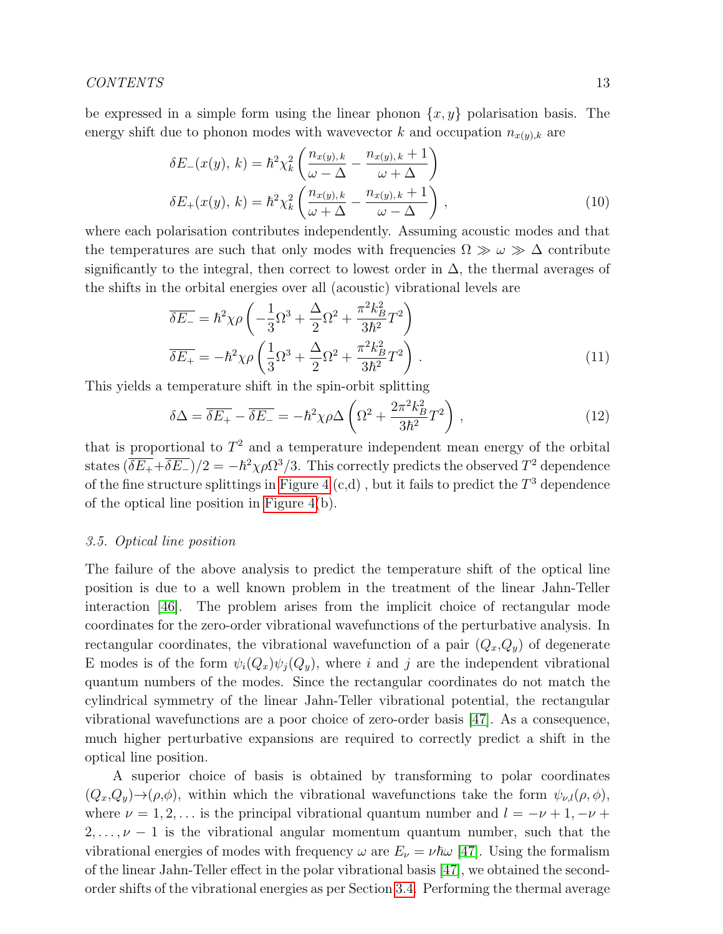be expressed in a simple form using the linear phonon  $\{x, y\}$  polarisation basis. The energy shift due to phonon modes with wavevector k and occupation  $n_{x(y),k}$  are

$$
\delta E_{-}(x(y), k) = \hbar^2 \chi_k^2 \left( \frac{n_{x(y),k}}{\omega - \Delta} - \frac{n_{x(y),k} + 1}{\omega + \Delta} \right)
$$
  

$$
\delta E_{+}(x(y), k) = \hbar^2 \chi_k^2 \left( \frac{n_{x(y),k}}{\omega + \Delta} - \frac{n_{x(y),k} + 1}{\omega - \Delta} \right),
$$
 (10)

where each polarisation contributes independently. Assuming acoustic modes and that the temperatures are such that only modes with frequencies  $\Omega \gg \omega \gg \Delta$  contribute significantly to the integral, then correct to lowest order in  $\Delta$ , the thermal averages of the shifts in the orbital energies over all (acoustic) vibrational levels are

$$
\overline{\delta E_{-}} = \hbar^2 \chi \rho \left( -\frac{1}{3} \Omega^3 + \frac{\Delta}{2} \Omega^2 + \frac{\pi^2 k_B^2}{3 \hbar^2} T^2 \right) \n\overline{\delta E_{+}} = -\hbar^2 \chi \rho \left( \frac{1}{3} \Omega^3 + \frac{\Delta}{2} \Omega^2 + \frac{\pi^2 k_B^2}{3 \hbar^2} T^2 \right) .
$$
\n(11)

This yields a temperature shift in the spin-orbit splitting

$$
\delta \Delta = \overline{\delta E_+} - \overline{\delta E_-} = -\hbar^2 \chi \rho \Delta \left( \Omega^2 + \frac{2\pi^2 k_B^2}{3\hbar^2} T^2 \right),\tag{12}
$$

that is proportional to  $T^2$  and a temperature independent mean energy of the orbital states  $(\overline{\delta E_+} + \overline{\delta E_-})/2 = -\hbar^2 \chi \rho \Omega^3/3$ . This correctly predicts the observed  $T^2$  dependence of the fine structure splittings in [Figure 4](#page-7-1) (c,d), but it fails to predict the  $T^3$  dependence of the optical line position in [Figure 4\(](#page-7-1)b).

#### <span id="page-12-0"></span>3.5. Optical line position

The failure of the above analysis to predict the temperature shift of the optical line position is due to a well known problem in the treatment of the linear Jahn-Teller interaction [\[46\]](#page-18-3). The problem arises from the implicit choice of rectangular mode coordinates for the zero-order vibrational wavefunctions of the perturbative analysis. In rectangular coordinates, the vibrational wavefunction of a pair  $(Q_x, Q_y)$  of degenerate E modes is of the form  $\psi_i(Q_x)\psi_i(Q_y)$ , where i and j are the independent vibrational quantum numbers of the modes. Since the rectangular coordinates do not match the cylindrical symmetry of the linear Jahn-Teller vibrational potential, the rectangular vibrational wavefunctions are a poor choice of zero-order basis [\[47\]](#page-18-4). As a consequence, much higher perturbative expansions are required to correctly predict a shift in the optical line position.

A superior choice of basis is obtained by transforming to polar coordinates  $(Q_x, Q_y) \rightarrow (\rho, \phi)$ , within which the vibrational wavefunctions take the form  $\psi_{\nu,l}(\rho, \phi)$ , where  $\nu = 1, 2, \ldots$  is the principal vibrational quantum number and  $l = -\nu + 1, -\nu +$  $2, \ldots, \nu - 1$  is the vibrational angular momentum quantum number, such that the vibrational energies of modes with frequency  $\omega$  are  $E_{\nu} = \nu \hbar \omega$  [\[47\]](#page-18-4). Using the formalism of the linear Jahn-Teller effect in the polar vibrational basis [\[47\]](#page-18-4), we obtained the secondorder shifts of the vibrational energies as per Section [3.4.](#page-11-1) Performing the thermal average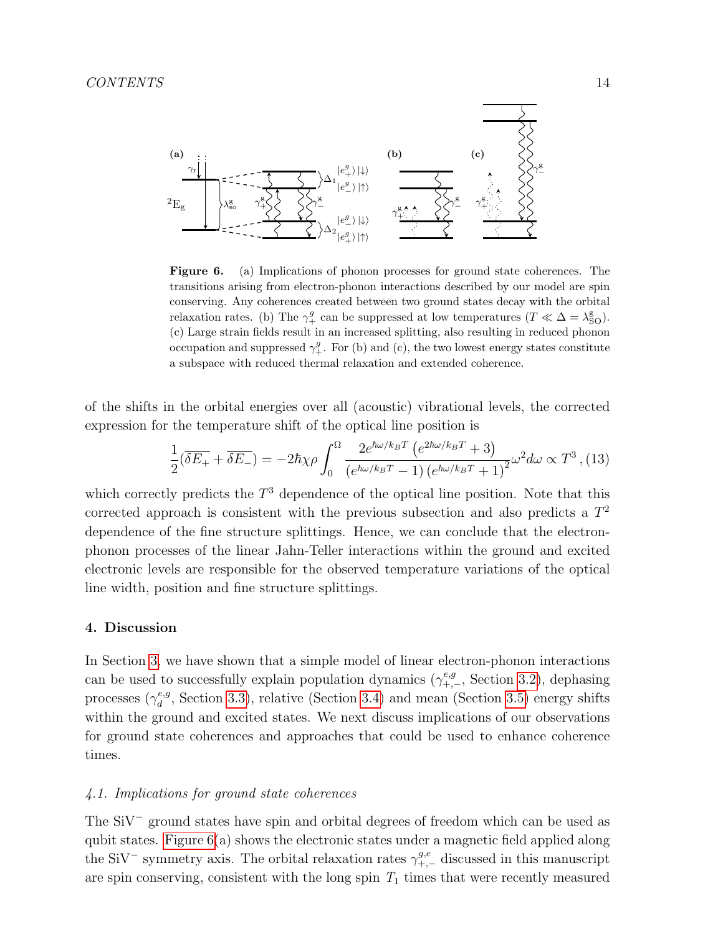

<span id="page-13-2"></span>Figure 6. (a) Implications of phonon processes for ground state coherences. The transitions arising from electron-phonon interactions described by our model are spin conserving. Any coherences created between two ground states decay with the orbital relaxation rates. (b) The  $\gamma_+^g$  can be suppressed at low temperatures  $(T \ll \Delta = \lambda_{\text{SO}}^g)$ . (c) Large strain fields result in an increased splitting, also resulting in reduced phonon occupation and suppressed  $\gamma_+^g$ . For (b) and (c), the two lowest energy states constitute a subspace with reduced thermal relaxation and extended coherence.

of the shifts in the orbital energies over all (acoustic) vibrational levels, the corrected expression for the temperature shift of the optical line position is

$$
\frac{1}{2}(\overline{\delta E_+} + \overline{\delta E_-}) = -2\hbar\chi\rho \int_0^\Omega \frac{2e^{\hbar\omega/k_BT} \left(e^{2\hbar\omega/k_BT} + 3\right)}{\left(e^{\hbar\omega/k_BT} - 1\right)\left(e^{\hbar\omega/k_BT} + 1\right)^2} \omega^2 d\omega \propto T^3 , \quad (13)
$$

which correctly predicts the  $T<sup>3</sup>$  dependence of the optical line position. Note that this corrected approach is consistent with the previous subsection and also predicts a  $T^2$ dependence of the fine structure splittings. Hence, we can conclude that the electronphonon processes of the linear Jahn-Teller interactions within the ground and excited electronic levels are responsible for the observed temperature variations of the optical line width, position and fine structure splittings.

## <span id="page-13-0"></span>4. Discussion

In Section [3,](#page-8-0) we have shown that a simple model of linear electron-phonon interactions can be used to successfully explain population dynamics  $(\gamma_{+,-}^{e,g}, \text{Section 3.2})$ , dephasing processes  $(\gamma_d^{e,g})$ <sup>e,g</sup>, Section [3.3\)](#page-11-0), relative (Section [3.4\)](#page-11-1) and mean (Section [3.5\)](#page-12-0) energy shifts within the ground and excited states. We next discuss implications of our observations for ground state coherences and approaches that could be used to enhance coherence times.

## <span id="page-13-1"></span>4.1. Implications for ground state coherences

The SiV<sup>-</sup> ground states have spin and orbital degrees of freedom which can be used as qubit states. [Figure 6\(](#page-13-2)a) shows the electronic states under a magnetic field applied along the SiV<sup>-</sup> symmetry axis. The orbital relaxation rates  $\gamma_{+,-}^{g,e}$  discussed in this manuscript are spin conserving, consistent with the long spin  $T_1$  times that were recently measured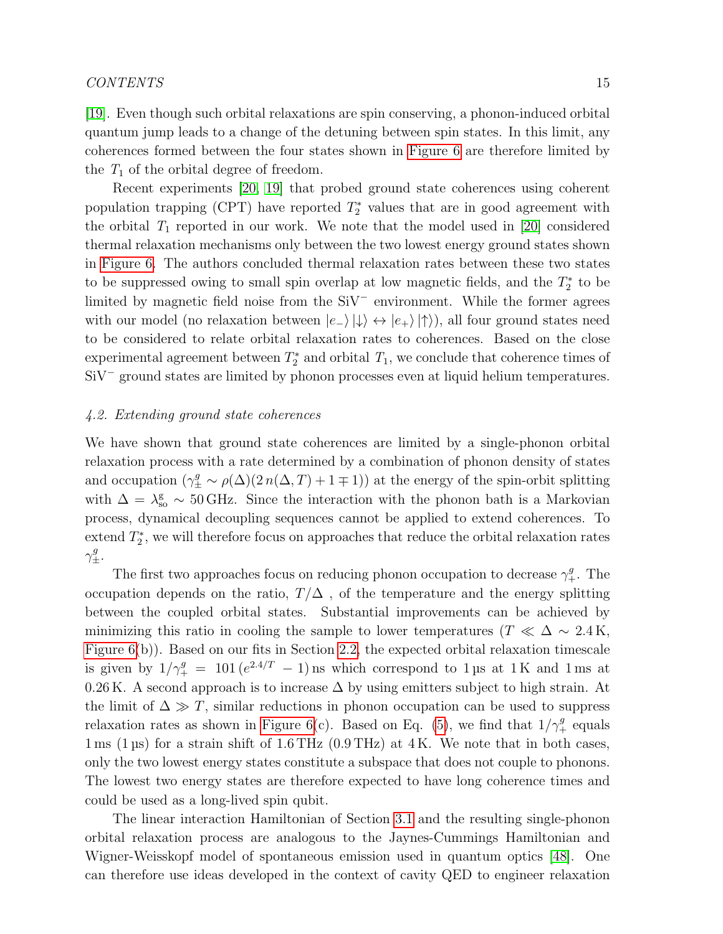[\[19\]](#page-16-13). Even though such orbital relaxations are spin conserving, a phonon-induced orbital quantum jump leads to a change of the detuning between spin states. In this limit, any coherences formed between the four states shown in [Figure 6](#page-13-2) are therefore limited by the  $T_1$  of the orbital degree of freedom.

Recent experiments [\[20,](#page-16-14) [19\]](#page-16-13) that probed ground state coherences using coherent population trapping (CPT) have reported  $T_2^*$  values that are in good agreement with the orbital  $T_1$  reported in our work. We note that the model used in [\[20\]](#page-16-14) considered thermal relaxation mechanisms only between the two lowest energy ground states shown in [Figure 6.](#page-13-2) The authors concluded thermal relaxation rates between these two states to be suppressed owing to small spin overlap at low magnetic fields, and the  $T_2^*$  to be limited by magnetic field noise from the SiV<sup>−</sup> environment. While the former agrees with our model (no relaxation between  $|e_{-}\rangle |\downarrow\rangle \leftrightarrow |e_{+}\rangle |\uparrow\rangle$ ), all four ground states need to be considered to relate orbital relaxation rates to coherences. Based on the close experimental agreement between  $T_2^*$  and orbital  $T_1$ , we conclude that coherence times of SiV<sup>−</sup> ground states are limited by phonon processes even at liquid helium temperatures.

## <span id="page-14-0"></span>4.2. Extending ground state coherences

We have shown that ground state coherences are limited by a single-phonon orbital relaxation process with a rate determined by a combination of phonon density of states and occupation  $(\gamma_{\pm}^g \sim \rho(\Delta)(2 n(\Delta, T) + 1 \mp 1))$  at the energy of the spin-orbit splitting with  $\Delta = \lambda_{\rm so}^{\rm g} \sim 50 \,\rm GHz$ . Since the interaction with the phonon bath is a Markovian process, dynamical decoupling sequences cannot be applied to extend coherences. To extend  $T_2^*$ , we will therefore focus on approaches that reduce the orbital relaxation rates  $\gamma^g_{\pm}$ .

The first two approaches focus on reducing phonon occupation to decrease  $\gamma^g_+$ . The occupation depends on the ratio,  $T/\Delta$ , of the temperature and the energy splitting between the coupled orbital states. Substantial improvements can be achieved by minimizing this ratio in cooling the sample to lower temperatures ( $T \ll \Delta \sim 2.4 \text{ K}$ , [Figure 6\(](#page-13-2)b)). Based on our fits in Section [2.2,](#page-4-0) the expected orbital relaxation timescale is given by  $1/\gamma^g_+ = 101 (e^{2.4/T} - 1)$  ns which correspond to 1 µs at 1 K and 1 ms at 0.26 K. A second approach is to increase  $\Delta$  by using emitters subject to high strain. At the limit of  $\Delta \gg T$ , similar reductions in phonon occupation can be used to suppress relaxation rates as shown in [Figure 6\(](#page-13-2)c). Based on Eq. [\(5\)](#page-10-1), we find that  $1/\gamma^g_+$  equals  $1 \text{ ms } (1 \text{ }\mu\text{s})$  for a strain shift of  $1.6 \text{ THz}$  (0.9 THz) at 4 K. We note that in both cases, only the two lowest energy states constitute a subspace that does not couple to phonons. The lowest two energy states are therefore expected to have long coherence times and could be used as a long-lived spin qubit.

The linear interaction Hamiltonian of Section [3.1](#page-9-0) and the resulting single-phonon orbital relaxation process are analogous to the Jaynes-Cummings Hamiltonian and Wigner-Weisskopf model of spontaneous emission used in quantum optics [\[48\]](#page-18-5). One can therefore use ideas developed in the context of cavity QED to engineer relaxation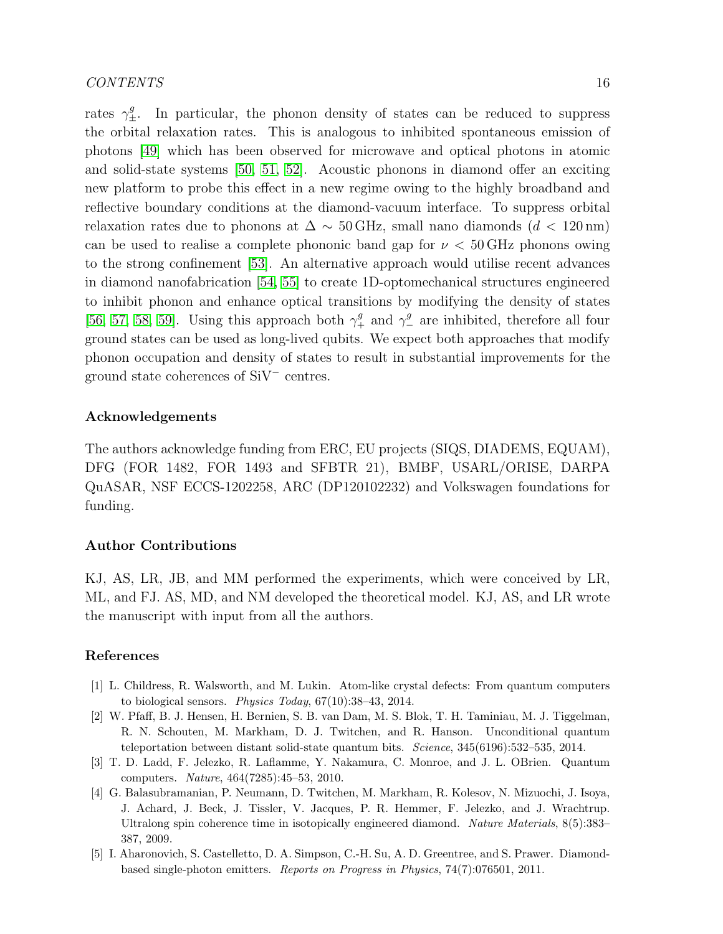rates  $\gamma^g_{\pm}$ . In particular, the phonon density of states can be reduced to suppress the orbital relaxation rates. This is analogous to inhibited spontaneous emission of photons [\[49\]](#page-18-6) which has been observed for microwave and optical photons in atomic and solid-state systems [\[50,](#page-18-7) [51,](#page-18-8) [52\]](#page-18-9). Acoustic phonons in diamond offer an exciting new platform to probe this effect in a new regime owing to the highly broadband and reflective boundary conditions at the diamond-vacuum interface. To suppress orbital relaxation rates due to phonons at  $\Delta \sim 50$  GHz, small nano diamonds  $(d < 120 \text{ nm})$ can be used to realise a complete phononic band gap for  $\nu < 50 \text{ GHz}$  phonons owing to the strong confinement [\[53\]](#page-18-10). An alternative approach would utilise recent advances in diamond nanofabrication [\[54,](#page-18-11) [55\]](#page-18-12) to create 1D-optomechanical structures engineered to inhibit phonon and enhance optical transitions by modifying the density of states [\[56,](#page-18-13) [57,](#page-18-14) [58,](#page-18-15) [59\]](#page-18-16). Using this approach both  $\gamma_+^g$  and  $\gamma_-^g$  are inhibited, therefore all four ground states can be used as long-lived qubits. We expect both approaches that modify phonon occupation and density of states to result in substantial improvements for the ground state coherences of SiV<sup>−</sup> centres.

#### Acknowledgements

The authors acknowledge funding from ERC, EU projects (SIQS, DIADEMS, EQUAM), DFG (FOR 1482, FOR 1493 and SFBTR 21), BMBF, USARL/ORISE, DARPA QuASAR, NSF ECCS-1202258, ARC (DP120102232) and Volkswagen foundations for funding.

## Author Contributions

KJ, AS, LR, JB, and MM performed the experiments, which were conceived by LR, ML, and FJ. AS, MD, and NM developed the theoretical model. KJ, AS, and LR wrote the manuscript with input from all the authors.

#### References

- <span id="page-15-0"></span>[1] L. Childress, R. Walsworth, and M. Lukin. Atom-like crystal defects: From quantum computers to biological sensors. Physics Today, 67(10):38–43, 2014.
- <span id="page-15-1"></span>[2] W. Pfaff, B. J. Hensen, H. Bernien, S. B. van Dam, M. S. Blok, T. H. Taminiau, M. J. Tiggelman, R. N. Schouten, M. Markham, D. J. Twitchen, and R. Hanson. Unconditional quantum teleportation between distant solid-state quantum bits. Science, 345(6196):532–535, 2014.
- <span id="page-15-2"></span>[3] T. D. Ladd, F. Jelezko, R. Laflamme, Y. Nakamura, C. Monroe, and J. L. OBrien. Quantum computers. Nature, 464(7285):45–53, 2010.
- <span id="page-15-3"></span>[4] G. Balasubramanian, P. Neumann, D. Twitchen, M. Markham, R. Kolesov, N. Mizuochi, J. Isoya, J. Achard, J. Beck, J. Tissler, V. Jacques, P. R. Hemmer, F. Jelezko, and J. Wrachtrup. Ultralong spin coherence time in isotopically engineered diamond. Nature Materials, 8(5):383– 387, 2009.
- <span id="page-15-4"></span>[5] I. Aharonovich, S. Castelletto, D. A. Simpson, C.-H. Su, A. D. Greentree, and S. Prawer. Diamondbased single-photon emitters. Reports on Progress in Physics, 74(7):076501, 2011.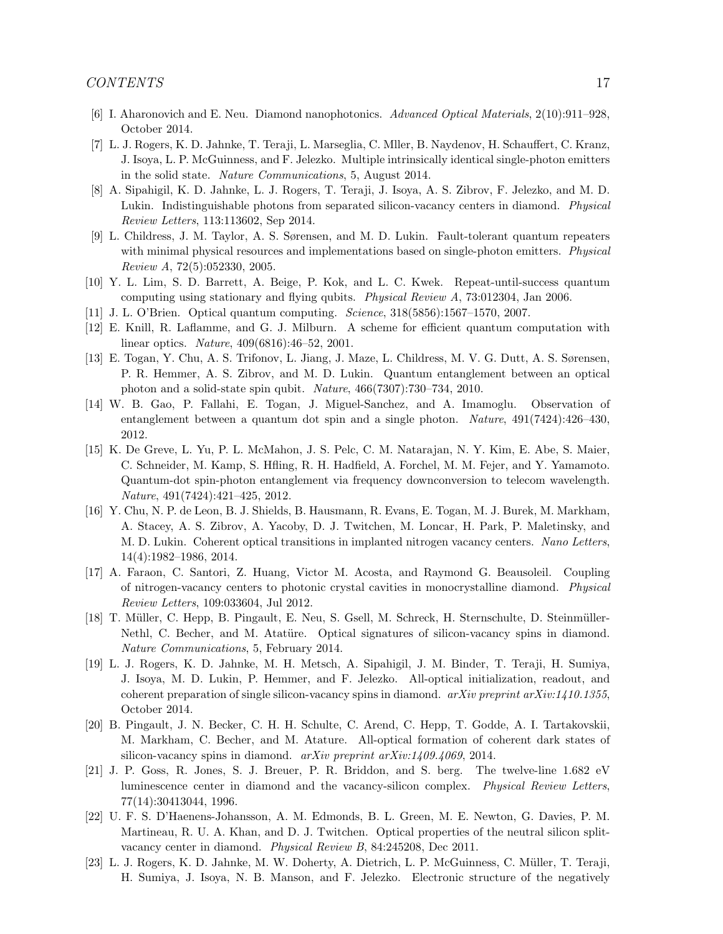- <span id="page-16-0"></span>[6] I. Aharonovich and E. Neu. Diamond nanophotonics. Advanced Optical Materials, 2(10):911–928, October 2014.
- <span id="page-16-1"></span>[7] L. J. Rogers, K. D. Jahnke, T. Teraji, L. Marseglia, C. Mller, B. Naydenov, H. Schauffert, C. Kranz, J. Isoya, L. P. McGuinness, and F. Jelezko. Multiple intrinsically identical single-photon emitters in the solid state. Nature Communications, 5, August 2014.
- <span id="page-16-2"></span>[8] A. Sipahigil, K. D. Jahnke, L. J. Rogers, T. Teraji, J. Isoya, A. S. Zibrov, F. Jelezko, and M. D. Lukin. Indistinguishable photons from separated silicon-vacancy centers in diamond. Physical Review Letters, 113:113602, Sep 2014.
- <span id="page-16-3"></span>[9] L. Childress, J. M. Taylor, A. S. Sørensen, and M. D. Lukin. Fault-tolerant quantum repeaters with minimal physical resources and implementations based on single-photon emitters. Physical Review A, 72(5):052330, 2005.
- <span id="page-16-4"></span>[10] Y. L. Lim, S. D. Barrett, A. Beige, P. Kok, and L. C. Kwek. Repeat-until-success quantum computing using stationary and flying qubits. Physical Review A, 73:012304, Jan 2006.
- <span id="page-16-5"></span>[11] J. L. O'Brien. Optical quantum computing. Science, 318(5856):1567–1570, 2007.
- <span id="page-16-6"></span>[12] E. Knill, R. Laflamme, and G. J. Milburn. A scheme for efficient quantum computation with linear optics. Nature, 409(6816):46–52, 2001.
- <span id="page-16-7"></span>[13] E. Togan, Y. Chu, A. S. Trifonov, L. Jiang, J. Maze, L. Childress, M. V. G. Dutt, A. S. Sørensen, P. R. Hemmer, A. S. Zibrov, and M. D. Lukin. Quantum entanglement between an optical photon and a solid-state spin qubit. Nature, 466(7307):730–734, 2010.
- <span id="page-16-8"></span>[14] W. B. Gao, P. Fallahi, E. Togan, J. Miguel-Sanchez, and A. Imamoglu. Observation of entanglement between a quantum dot spin and a single photon. Nature,  $491(7424):426-430$ , 2012.
- <span id="page-16-9"></span>[15] K. De Greve, L. Yu, P. L. McMahon, J. S. Pelc, C. M. Natarajan, N. Y. Kim, E. Abe, S. Maier, C. Schneider, M. Kamp, S. Hfling, R. H. Hadfield, A. Forchel, M. M. Fejer, and Y. Yamamoto. Quantum-dot spin-photon entanglement via frequency downconversion to telecom wavelength. Nature, 491(7424):421–425, 2012.
- <span id="page-16-10"></span>[16] Y. Chu, N. P. de Leon, B. J. Shields, B. Hausmann, R. Evans, E. Togan, M. J. Burek, M. Markham, A. Stacey, A. S. Zibrov, A. Yacoby, D. J. Twitchen, M. Loncar, H. Park, P. Maletinsky, and M. D. Lukin. Coherent optical transitions in implanted nitrogen vacancy centers. Nano Letters, 14(4):1982–1986, 2014.
- <span id="page-16-11"></span>[17] A. Faraon, C. Santori, Z. Huang, Victor M. Acosta, and Raymond G. Beausoleil. Coupling of nitrogen-vacancy centers to photonic crystal cavities in monocrystalline diamond. Physical Review Letters, 109:033604, Jul 2012.
- <span id="page-16-12"></span>[18] T. Müller, C. Hepp, B. Pingault, E. Neu, S. Gsell, M. Schreck, H. Sternschulte, D. Steinmüller-Nethl, C. Becher, and M. Atatüre. Optical signatures of silicon-vacancy spins in diamond. Nature Communications, 5, February 2014.
- <span id="page-16-13"></span>[19] L. J. Rogers, K. D. Jahnke, M. H. Metsch, A. Sipahigil, J. M. Binder, T. Teraji, H. Sumiya, J. Isoya, M. D. Lukin, P. Hemmer, and F. Jelezko. All-optical initialization, readout, and coherent preparation of single silicon-vacancy spins in diamond.  $arXiv$  preprint  $arXiv:1410.1355$ , October 2014.
- <span id="page-16-14"></span>[20] B. Pingault, J. N. Becker, C. H. H. Schulte, C. Arend, C. Hepp, T. Godde, A. I. Tartakovskii, M. Markham, C. Becher, and M. Atature. All-optical formation of coherent dark states of silicon-vacancy spins in diamond.  $arXiv$  preprint  $arXiv:1409.4069$ , 2014.
- <span id="page-16-15"></span>[21] J. P. Goss, R. Jones, S. J. Breuer, P. R. Briddon, and S. berg. The twelve-line 1.682 eV luminescence center in diamond and the vacancy-silicon complex. Physical Review Letters, 77(14):30413044, 1996.
- <span id="page-16-16"></span>[22] U. F. S. D'Haenens-Johansson, A. M. Edmonds, B. L. Green, M. E. Newton, G. Davies, P. M. Martineau, R. U. A. Khan, and D. J. Twitchen. Optical properties of the neutral silicon splitvacancy center in diamond. Physical Review B, 84:245208, Dec 2011.
- <span id="page-16-17"></span>[23] L. J. Rogers, K. D. Jahnke, M. W. Doherty, A. Dietrich, L. P. McGuinness, C. M¨uller, T. Teraji, H. Sumiya, J. Isoya, N. B. Manson, and F. Jelezko. Electronic structure of the negatively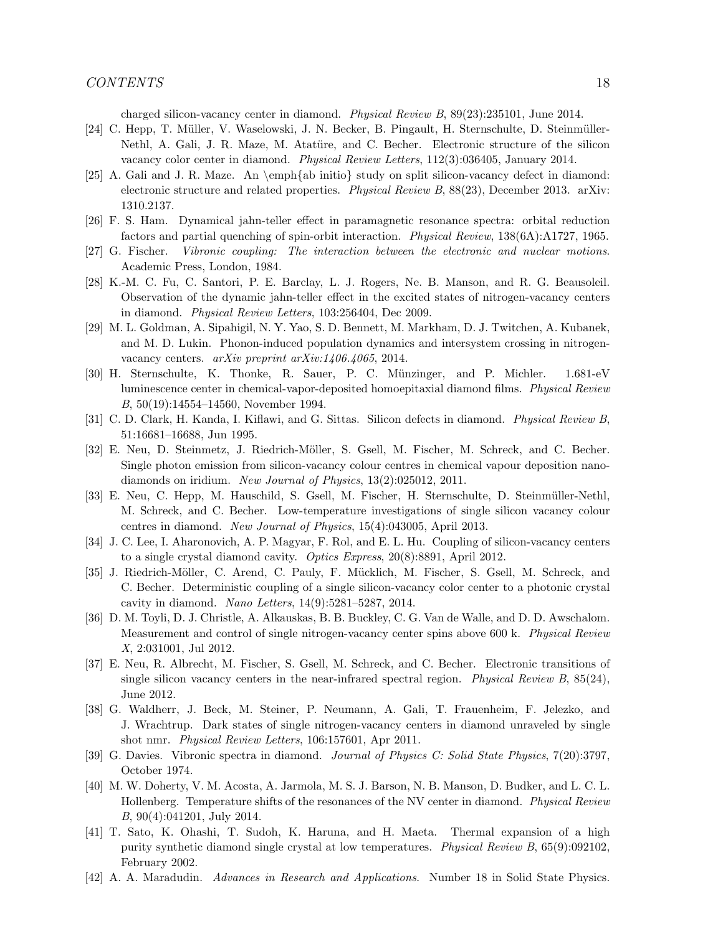charged silicon-vacancy center in diamond. Physical Review B, 89(23):235101, June 2014.

- <span id="page-17-0"></span>[24] C. Hepp, T. Müller, V. Waselowski, J. N. Becker, B. Pingault, H. Sternschulte, D. Steinmüller-Nethl, A. Gali, J. R. Maze, M. Atatüre, and C. Becher. Electronic structure of the silicon vacancy color center in diamond. Physical Review Letters, 112(3):036405, January 2014.
- <span id="page-17-1"></span>[25] A. Gali and J. R. Maze. An \emph{ab initio} study on split silicon-vacancy defect in diamond: electronic structure and related properties. Physical Review B, 88(23), December 2013. arXiv: 1310.2137.
- <span id="page-17-2"></span>[26] F. S. Ham. Dynamical jahn-teller effect in paramagnetic resonance spectra: orbital reduction factors and partial quenching of spin-orbit interaction. Physical Review, 138(6A):A1727, 1965.
- <span id="page-17-3"></span>[27] G. Fischer. Vibronic coupling: The interaction between the electronic and nuclear motions. Academic Press, London, 1984.
- <span id="page-17-4"></span>[28] K.-M. C. Fu, C. Santori, P. E. Barclay, L. J. Rogers, Ne. B. Manson, and R. G. Beausoleil. Observation of the dynamic jahn-teller effect in the excited states of nitrogen-vacancy centers in diamond. Physical Review Letters, 103:256404, Dec 2009.
- <span id="page-17-5"></span>[29] M. L. Goldman, A. Sipahigil, N. Y. Yao, S. D. Bennett, M. Markham, D. J. Twitchen, A. Kubanek, and M. D. Lukin. Phonon-induced population dynamics and intersystem crossing in nitrogenvacancy centers. arXiv preprint arXiv:1406.4065, 2014.
- <span id="page-17-6"></span>[30] H. Sternschulte, K. Thonke, R. Sauer, P. C. M¨unzinger, and P. Michler. 1.681-eV luminescence center in chemical-vapor-deposited homoepitaxial diamond films. Physical Review B, 50(19):14554–14560, November 1994.
- <span id="page-17-7"></span>[31] C. D. Clark, H. Kanda, I. Kiflawi, and G. Sittas. Silicon defects in diamond. Physical Review B, 51:16681–16688, Jun 1995.
- <span id="page-17-8"></span>[32] E. Neu, D. Steinmetz, J. Riedrich-Möller, S. Gsell, M. Fischer, M. Schreck, and C. Becher. Single photon emission from silicon-vacancy colour centres in chemical vapour deposition nanodiamonds on iridium. New Journal of Physics, 13(2):025012, 2011.
- <span id="page-17-9"></span>[33] E. Neu, C. Hepp, M. Hauschild, S. Gsell, M. Fischer, H. Sternschulte, D. Steinmüller-Nethl, M. Schreck, and C. Becher. Low-temperature investigations of single silicon vacancy colour centres in diamond. New Journal of Physics, 15(4):043005, April 2013.
- <span id="page-17-10"></span>[34] J. C. Lee, I. Aharonovich, A. P. Magyar, F. Rol, and E. L. Hu. Coupling of silicon-vacancy centers to a single crystal diamond cavity. Optics Express, 20(8):8891, April 2012.
- <span id="page-17-11"></span>[35] J. Riedrich-M¨oller, C. Arend, C. Pauly, F. M¨ucklich, M. Fischer, S. Gsell, M. Schreck, and C. Becher. Deterministic coupling of a single silicon-vacancy color center to a photonic crystal cavity in diamond. Nano Letters, 14(9):5281–5287, 2014.
- <span id="page-17-12"></span>[36] D. M. Toyli, D. J. Christle, A. Alkauskas, B. B. Buckley, C. G. Van de Walle, and D. D. Awschalom. Measurement and control of single nitrogen-vacancy center spins above 600 k. Physical Review X, 2:031001, Jul 2012.
- <span id="page-17-13"></span>[37] E. Neu, R. Albrecht, M. Fischer, S. Gsell, M. Schreck, and C. Becher. Electronic transitions of single silicon vacancy centers in the near-infrared spectral region. Physical Review B,  $85(24)$ , June 2012.
- <span id="page-17-14"></span>[38] G. Waldherr, J. Beck, M. Steiner, P. Neumann, A. Gali, T. Frauenheim, F. Jelezko, and J. Wrachtrup. Dark states of single nitrogen-vacancy centers in diamond unraveled by single shot nmr. Physical Review Letters, 106:157601, Apr 2011.
- <span id="page-17-15"></span>[39] G. Davies. Vibronic spectra in diamond. Journal of Physics C: Solid State Physics, 7(20):3797, October 1974.
- <span id="page-17-16"></span>[40] M. W. Doherty, V. M. Acosta, A. Jarmola, M. S. J. Barson, N. B. Manson, D. Budker, and L. C. L. Hollenberg. Temperature shifts of the resonances of the NV center in diamond. Physical Review B, 90(4):041201, July 2014.
- <span id="page-17-17"></span>[41] T. Sato, K. Ohashi, T. Sudoh, K. Haruna, and H. Maeta. Thermal expansion of a high purity synthetic diamond single crystal at low temperatures. Physical Review B, 65(9):092102, February 2002.
- <span id="page-17-18"></span>[42] A. A. Maradudin. Advances in Research and Applications. Number 18 in Solid State Physics.